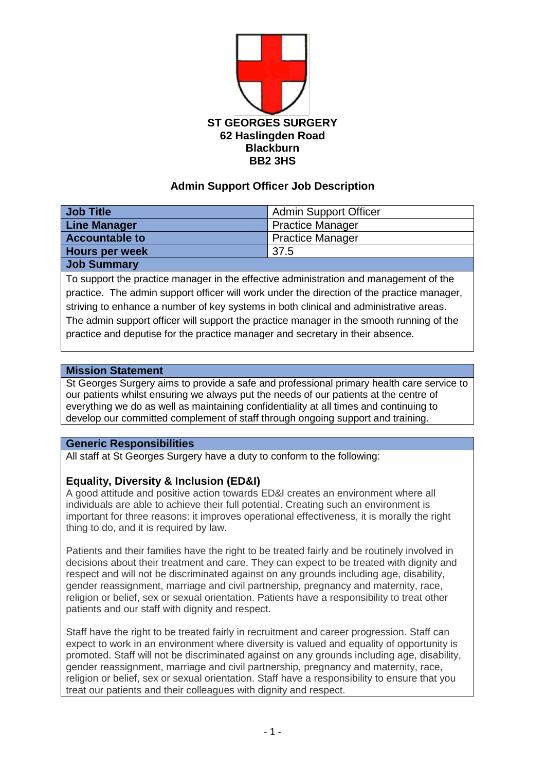

## **Admin Support Officer Job Description**

| Job Title             | Admin Support Officer   |
|-----------------------|-------------------------|
| <b>Line Manager</b>   | <b>Practice Manager</b> |
| <b>Accountable to</b> | <b>Practice Manager</b> |
| <b>Hours per week</b> | 37.5                    |
| Job Summary           |                         |

To support the practice manager in the effective administration and management of the practice. The admin support officer will work under the direction of the practice manager, striving to enhance a number of key systems in both clinical and administrative areas. The admin support officer will support the practice manager in the smooth running of the practice and deputise for the practice manager and secretary in their absence.

#### **Mission Statement**

St Georges Surgery aims to provide a safe and professional primary health care service to our patients whilst ensuring we always put the needs of our patients at the centre of everything we do as well as maintaining confidentiality at all times and continuing to develop our committed complement of staff through ongoing support and training.

### **Generic Responsibilities**

All staff at St Georges Surgery have a duty to conform to the following:

### **Equality, Diversity & Inclusion (ED&I)**

A good attitude and positive action towards ED&I creates an environment where all individuals are able to achieve their full potential. Creating such an environment is important for three reasons: it improves operational effectiveness, it is morally the right thing to do, and it is required by law.

Patients and their families have the right to be treated fairly and be routinely involved in decisions about their treatment and care. They can expect to be treated with dignity and respect and will not be discriminated against on any grounds including age, disability, gender reassignment, marriage and civil partnership, pregnancy and maternity, race, religion or belief, sex or sexual orientation. Patients have a responsibility to treat other patients and our staff with dignity and respect.

Staff have the right to be treated fairly in recruitment and career progression. Staff can expect to work in an environment where diversity is valued and equality of opportunity is promoted. Staff will not be discriminated against on any grounds including age, disability, gender reassignment, marriage and civil partnership, pregnancy and maternity, race, religion or belief, sex or sexual orientation. Staff have a responsibility to ensure that you treat our patients and their colleagues with dignity and respect.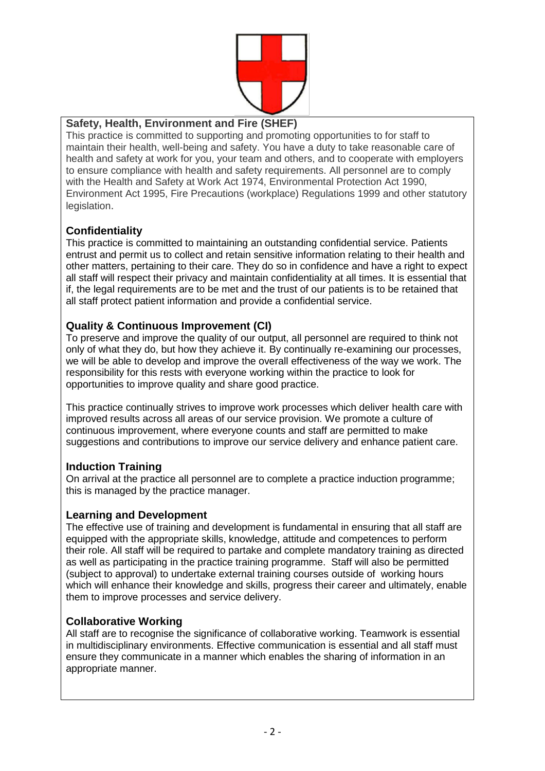

## **Safety, Health, Environment and Fire (SHEF)**

This practice is committed to supporting and promoting opportunities to for staff to maintain their health, well-being and safety. You have a duty to take reasonable care of health and safety at work for you, your team and others, and to cooperate with employers to ensure compliance with health and safety requirements. All personnel are to comply with the Health and Safety at Work Act 1974, Environmental Protection Act 1990, Environment Act 1995, Fire Precautions (workplace) Regulations 1999 and other statutory legislation.

# **Confidentiality**

This practice is committed to maintaining an outstanding confidential service. Patients entrust and permit us to collect and retain sensitive information relating to their health and other matters, pertaining to their care. They do so in confidence and have a right to expect all staff will respect their privacy and maintain confidentiality at all times. It is essential that if, the legal requirements are to be met and the trust of our patients is to be retained that all staff protect patient information and provide a confidential service.

## **Quality & Continuous Improvement (CI)**

To preserve and improve the quality of our output, all personnel are required to think not only of what they do, but how they achieve it. By continually re-examining our processes, we will be able to develop and improve the overall effectiveness of the way we work. The responsibility for this rests with everyone working within the practice to look for opportunities to improve quality and share good practice.

This practice continually strives to improve work processes which deliver health care with improved results across all areas of our service provision. We promote a culture of continuous improvement, where everyone counts and staff are permitted to make suggestions and contributions to improve our service delivery and enhance patient care.

### **Induction Training**

On arrival at the practice all personnel are to complete a practice induction programme; this is managed by the practice manager.

### **Learning and Development**

The effective use of training and development is fundamental in ensuring that all staff are equipped with the appropriate skills, knowledge, attitude and competences to perform their role. All staff will be required to partake and complete mandatory training as directed as well as participating in the practice training programme. Staff will also be permitted (subject to approval) to undertake external training courses outside of working hours which will enhance their knowledge and skills, progress their career and ultimately, enable them to improve processes and service delivery.

### **Collaborative Working**

All staff are to recognise the significance of collaborative working. Teamwork is essential in multidisciplinary environments. Effective communication is essential and all staff must ensure they communicate in a manner which enables the sharing of information in an appropriate manner.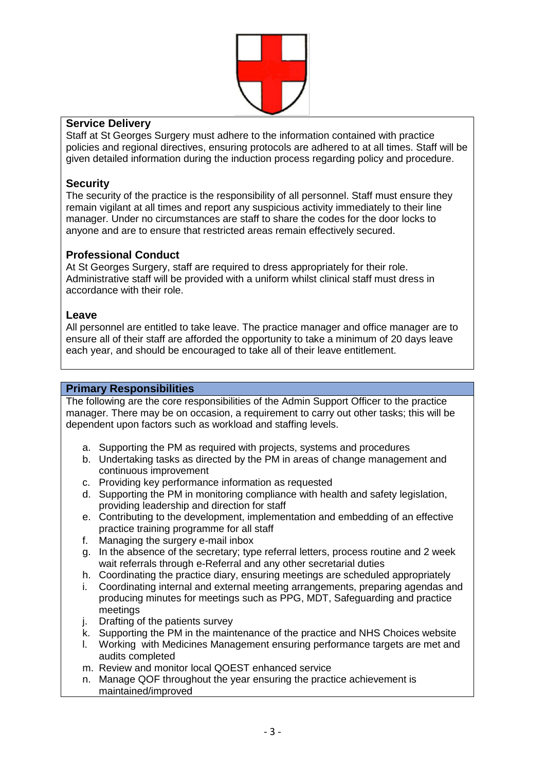

### **Service Delivery**

Staff at St Georges Surgery must adhere to the information contained with practice policies and regional directives, ensuring protocols are adhered to at all times. Staff will be given detailed information during the induction process regarding policy and procedure.

## **Security**

The security of the practice is the responsibility of all personnel. Staff must ensure they remain vigilant at all times and report any suspicious activity immediately to their line manager. Under no circumstances are staff to share the codes for the door locks to anyone and are to ensure that restricted areas remain effectively secured.

## **Professional Conduct**

At St Georges Surgery, staff are required to dress appropriately for their role. Administrative staff will be provided with a uniform whilst clinical staff must dress in accordance with their role.

### **Leave**

All personnel are entitled to take leave. The practice manager and office manager are to ensure all of their staff are afforded the opportunity to take a minimum of 20 days leave each year, and should be encouraged to take all of their leave entitlement.

#### **Primary Responsibilities**

The following are the core responsibilities of the Admin Support Officer to the practice manager. There may be on occasion, a requirement to carry out other tasks; this will be dependent upon factors such as workload and staffing levels.

- a. Supporting the PM as required with projects, systems and procedures
- b. Undertaking tasks as directed by the PM in areas of change management and continuous improvement
- c. Providing key performance information as requested
- d. Supporting the PM in monitoring compliance with health and safety legislation, providing leadership and direction for staff
- e. Contributing to the development, implementation and embedding of an effective practice training programme for all staff
- f. Managing the surgery e-mail inbox
- g. In the absence of the secretary; type referral letters, process routine and 2 week wait referrals through e-Referral and any other secretarial duties
- h. Coordinating the practice diary, ensuring meetings are scheduled appropriately
- i. Coordinating internal and external meeting arrangements, preparing agendas and producing minutes for meetings such as PPG, MDT, Safeguarding and practice meetings
- j. Drafting of the patients survey
- k. Supporting the PM in the maintenance of the practice and NHS Choices website
- l. Working with Medicines Management ensuring performance targets are met and audits completed
- m. Review and monitor local QOEST enhanced service
- n. Manage QOF throughout the year ensuring the practice achievement is maintained/improved